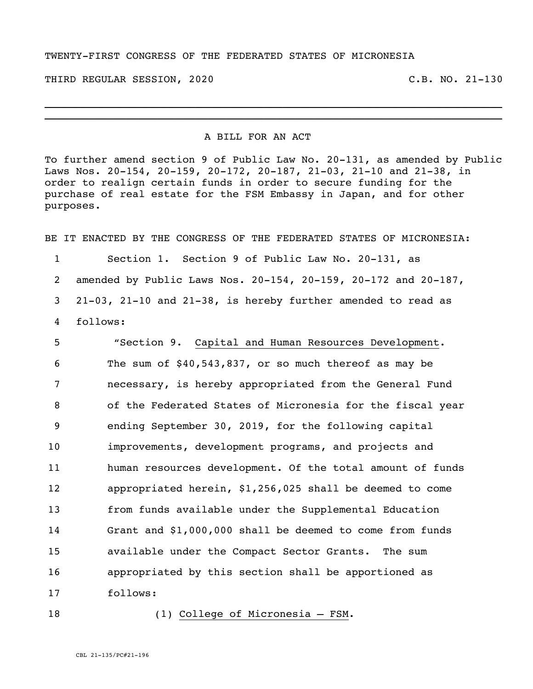## TWENTY-FIRST CONGRESS OF THE FEDERATED STATES OF MICRONESIA

THIRD REGULAR SESSION, 2020 C.B. NO. 21-130

## A BILL FOR AN ACT

To further amend section 9 of Public Law No. 20-131, as amended by Public Laws Nos. 20-154, 20-159, 20-172, 20-187, 21-03, 21-10 and 21-38, in order to realign certain funds in order to secure funding for the purchase of real estate for the FSM Embassy in Japan, and for other purposes.

 $\_$  , and the set of the set of the set of the set of the set of the set of the set of the set of the set of the set of the set of the set of the set of the set of the set of the set of the set of the set of the set of th  $\_$  . The contribution of the contribution of the contribution of the contribution of the contribution of the contribution of the contribution of the contribution of the contribution of the contribution of the contributio

BE IT ENACTED BY THE CONGRESS OF THE FEDERATED STATES OF MICRONESIA:

 Section 1. Section 9 of Public Law No. 20-131, as amended by Public Laws Nos. 20-154, 20-159, 20-172 and 20-187, 21-03, 21-10 and 21-38, is hereby further amended to read as follows:

 "Section 9. Capital and Human Resources Development. The sum of \$40,543,837, or so much thereof as may be necessary, is hereby appropriated from the General Fund of the Federated States of Micronesia for the fiscal year ending September 30, 2019, for the following capital improvements, development programs, and projects and 11 human resources development. Of the total amount of funds appropriated herein, \$1,256,025 shall be deemed to come from funds available under the Supplemental Education Grant and \$1,000,000 shall be deemed to come from funds available under the Compact Sector Grants. The sum appropriated by this section shall be apportioned as 17 follows:

## 18 (1) College of Micronesia – FSM.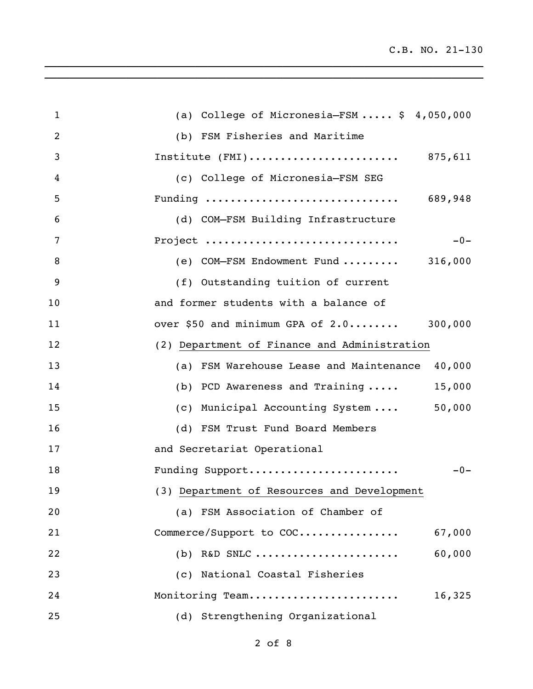| $\mathbf{1}$   | (a) College of Micronesia-FSM $$4,050,000$     |
|----------------|------------------------------------------------|
| $\overline{2}$ | (b) FSM Fisheries and Maritime                 |
| 3              | Institute $(FMI)$ 875,611                      |
| 4              | (c) College of Micronesia-FSM SEG              |
| 5              | Funding  689,948                               |
| 6              | (d) COM-FSM Building Infrastructure            |
| 7              | Project<br>$-0-$                               |
| $\, 8$         | (e) COM-FSM Endowment Fund $316,000$           |
| 9              | (f) Outstanding tuition of current             |
| 10             | and former students with a balance of          |
| 11             | over \$50 and minimum GPA of 2.0 300,000       |
| 12             | (2) Department of Finance and Administration   |
| 13             | (a) FSM Warehouse Lease and Maintenance 40,000 |
| 14             | 15,000<br>(b) PCD Awareness and Training       |
| 15             | 50,000<br>(c) Municipal Accounting System      |
| 16             | (d) FSM Trust Fund Board Members               |
| 17             | and Secretariat Operational                    |
| 18             | $-0-$<br>Funding Support                       |
| 19             | (3) Department of Resources and Development    |
| 20             | (a) FSM Association of Chamber of              |
| 21             | Commerce/Support to COC<br>67,000              |
| 22             | 60,000<br>$(b)$ R&D SNLC                       |
| 23             | (c) National Coastal Fisheries                 |
| 24             | Monitoring Team<br>16,325                      |
| 25             | (d) Strengthening Organizational               |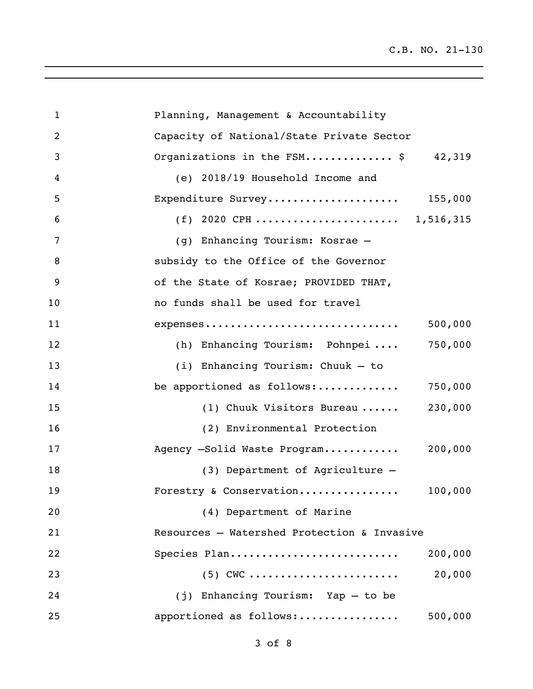| $\mathbf{1}$ | Planning, Management & Accountability       |
|--------------|---------------------------------------------|
| 2            | Capacity of National/State Private Sector   |
| 3            | Organizations in the $FSM$ \$ 42,319        |
| 4            | (e) 2018/19 Household Income and            |
| 5            | 155,000<br>Expenditure Survey               |
| 6            | (f) 2020 CPH  1,516,315                     |
| 7            | (g) Enhancing Tourism: Kosrae -             |
| 8            | subsidy to the Office of the Governor       |
| 9            | of the State of Kosrae; PROVIDED THAT,      |
| 10           | no funds shall be used for travel           |
| 11           | expenses<br>500,000                         |
| 12           | 750,000<br>(h) Enhancing Tourism: Pohnpei   |
| 13           | (i) Enhancing Tourism: Chuuk - to           |
| 14           | 750,000<br>be apportioned as follows:       |
| 15           | 230,000<br>(1) Chuuk Visitors Bureau        |
| 16           | (2) Environmental Protection                |
| 17           | Agency -Solid Waste Program<br>200,000      |
| 18           | (3) Department of Agriculture -             |
| 19           | Forestry & Conservation<br>100,000          |
| 20           | (4) Department of Marine                    |
| 21           | Resources - Watershed Protection & Invasive |
| 22           | Species Plan<br>200,000                     |
| 23           | 20,000<br>$(5)$ CWC                         |
| 24           | (j) Enhancing Tourism: Yap - to be          |
| 25           | apportioned as follows:<br>500,000          |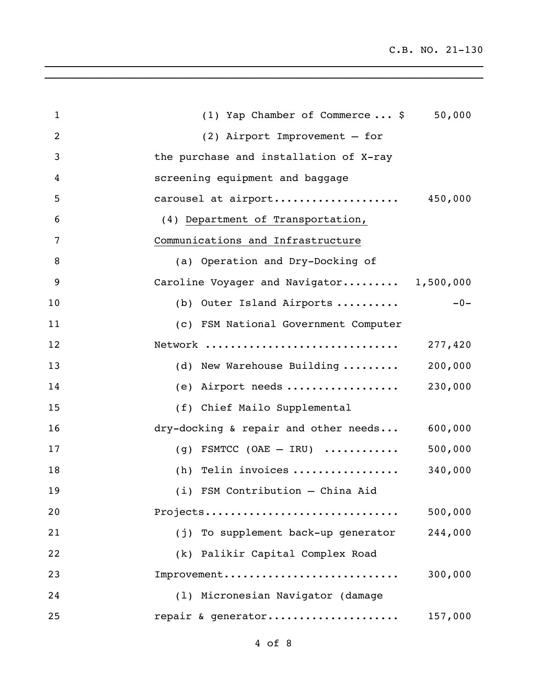C.B. NO. 21-130

| $\mathbf{1}$   | (1) Yap Chamber of Commerce $\ldots$ \$<br>50,000 |
|----------------|---------------------------------------------------|
| $\overline{2}$ | $(2)$ Airport Improvement - for                   |
| 3              | the purchase and installation of X-ray            |
| 4              | screening equipment and baggage                   |
| 5              | carousel at airport<br>450,000                    |
| 6              | (4) Department of Transportation,                 |
| 7              | Communications and Infrastructure                 |
| 8              | (a) Operation and Dry-Docking of                  |
| 9              | Caroline Voyager and Navigator 1,500,000          |
| 10             | $-0-$<br>(b) Outer Island Airports                |
| 11             | (c) FSM National Government Computer              |
| 12             | Network<br>277,420                                |
| 13             | (d) New Warehouse Building<br>200,000             |
| 14             | (e) Airport needs<br>230,000                      |
| 15             | (f) Chief Mailo Supplemental                      |
| 16             | dry-docking & repair and other needs<br>600,000   |
| 17             | 500,000<br>(g) FSMTCC (OAE $-$ IRU)               |
| 18             | (h) Telin invoices<br>340,000                     |
| 19             | (i) FSM Contribution - China Aid                  |
| 20             | Projects<br>500,000                               |
| 21             | 244,000<br>(j) To supplement back-up generator    |
| 22             | (k) Palikir Capital Complex Road                  |
| 23             | Improvement<br>300,000                            |
| 24             | (1) Micronesian Navigator (damage                 |
| 25             | repair & generator<br>157,000                     |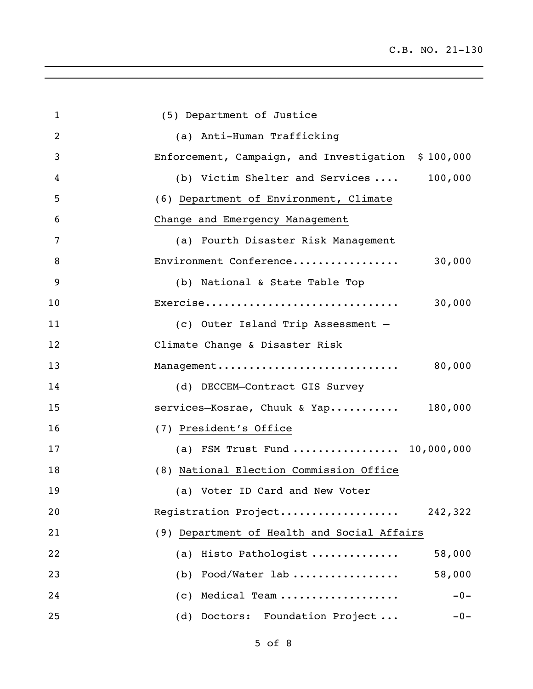| $\mathbf 1$    | (5) Department of Justice                          |
|----------------|----------------------------------------------------|
| $\overline{2}$ | (a) Anti-Human Trafficking                         |
| 3              | Enforcement, Campaign, and Investigation \$100,000 |
| 4              | (b) Victim Shelter and Services  100,000           |
| 5              | (6) Department of Environment, Climate             |
| 6              | Change and Emergency Management                    |
| 7              | (a) Fourth Disaster Risk Management                |
| 8              | Environment Conference<br>30,000                   |
| 9              | (b) National & State Table Top                     |
| 10             | Exercise<br>30,000                                 |
| 11             | (c) Outer Island Trip Assessment -                 |
| 12             | Climate Change & Disaster Risk                     |
| 13             | Management<br>80,000                               |
| 14             | (d) DECCEM-Contract GIS Survey                     |
| 15             | services-Kosrae, Chuuk & Yap 180,000               |
| 16             | (7) President's Office                             |
| 17             | (a) FSM Trust Fund  10,000,000                     |
| 18             | (8) National Election Commission Office            |
| 19             | (a) Voter ID Card and New Voter                    |
| 20             | Registration Project<br>242,322                    |
| 21             | (9) Department of Health and Social Affairs        |
| 22             | (a) Histo Pathologist<br>58,000                    |
| 23             | 58,000<br>Food/Water lab<br>(b)                    |
| 24             | $-0-$<br>Medical Team<br>(C)                       |
| 25             | (d) Doctors: Foundation Project<br>$-0-$           |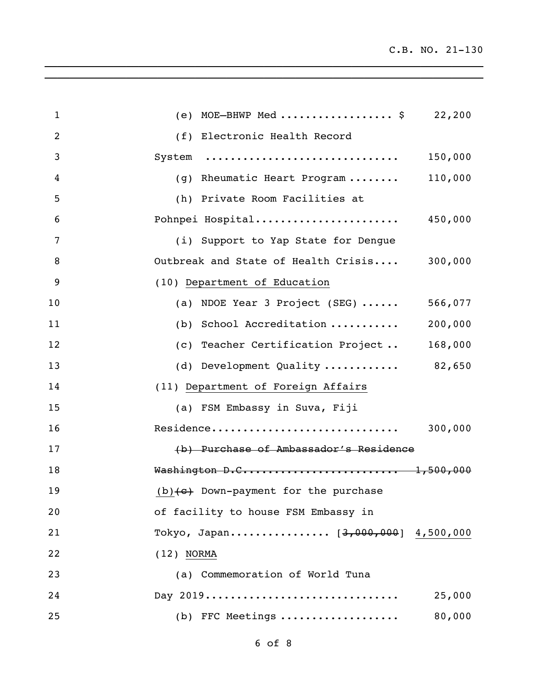| $\mathbf{1}$   | (e) MOE-BHWP Med \$ 22,200                        |
|----------------|---------------------------------------------------|
| $\overline{2}$ | (f) Electronic Health Record                      |
| 3              | System<br>150,000                                 |
| 4              | 110,000<br>(g) Rheumatic Heart Program            |
| 5              | (h) Private Room Facilities at                    |
| 6              | Pohnpei Hospital<br>450,000                       |
| 7              | (i) Support to Yap State for Dengue               |
| 8              | Outbreak and State of Health Crisis 300,000       |
| 9              | (10) Department of Education                      |
| 10             | (a) NDOE Year 3 Project (SEG) $\cdots$<br>566,077 |
| 11             | 200,000<br>(b) School Accreditation               |
| 12             | (c) Teacher Certification Project<br>168,000      |
| 13             | (d) Development Quality  82,650                   |
| 14             | (11) Department of Foreign Affairs                |
| 15             | (a) FSM Embassy in Suva, Fiji                     |
| 16             | Residence<br>300,000                              |
| 17             | (b) Purchase of Ambassador's Residence            |
| 18             | Washington D.C 1,500,000                          |
| 19             | $(b)$ (e) Down-payment for the purchase           |
| 20             | of facility to house FSM Embassy in               |
| 21             | Tokyo, Japan [3,000,000] 4,500,000                |
| 22             | $(12)$ NORMA                                      |
| 23             | (a) Commemoration of World Tuna                   |
| 24             | Day 2019<br>25,000                                |
| 25             | 80,000<br>$(b)$ FFC Meetings                      |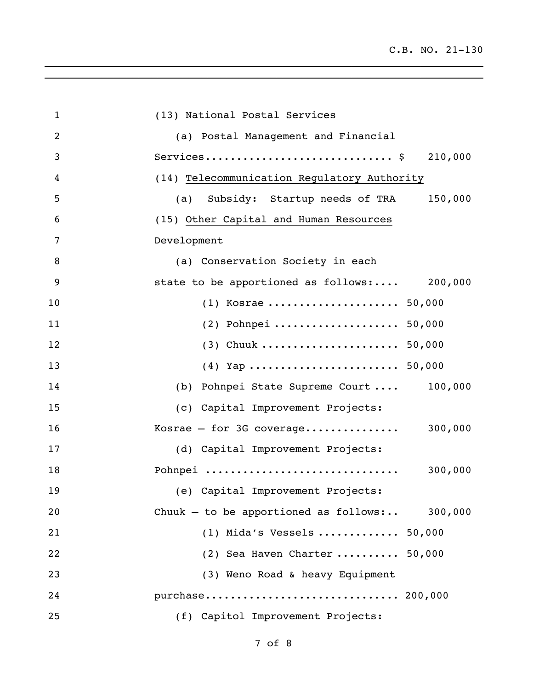| $\mathbf 1$    | (13) National Postal Services                   |
|----------------|-------------------------------------------------|
| $\overline{2}$ | (a) Postal Management and Financial             |
| 3              | 210,000                                         |
| 4              | (14) Telecommunication Regulatory Authority     |
| 5              | 150,000<br>(a) Subsidy: Startup needs of TRA    |
| 6              | (15) Other Capital and Human Resources          |
| 7              | Development                                     |
| 8              | (a) Conservation Society in each                |
| 9              | state to be apportioned as follows: 200,000     |
| 10             | $(1)$ Kosrae  50,000                            |
| 11             | (2) Pohnpei  50,000                             |
| 12             | (3) Chuuk  50,000                               |
| 13             |                                                 |
| 14             | (b) Pohnpei State Supreme Court  100,000        |
| 15             | (c) Capital Improvement Projects:               |
| 16             | 300,000<br>Kosrae $-$ for 3G coverage           |
| 17             | (d) Capital Improvement Projects:               |
| 18             | Pohnpei<br>300,000                              |
| 19             | (e) Capital Improvement Projects:               |
| 20             | Chuuk - to be apportioned as follows: $300,000$ |
| 21             | (1) Mida's Vessels  50,000                      |
| 22             | (2) Sea Haven Charter $50,000$                  |
| 23             | (3) Weno Road & heavy Equipment                 |
| 24             | purchase 200,000                                |
| 25             | (f) Capitol Improvement Projects:               |